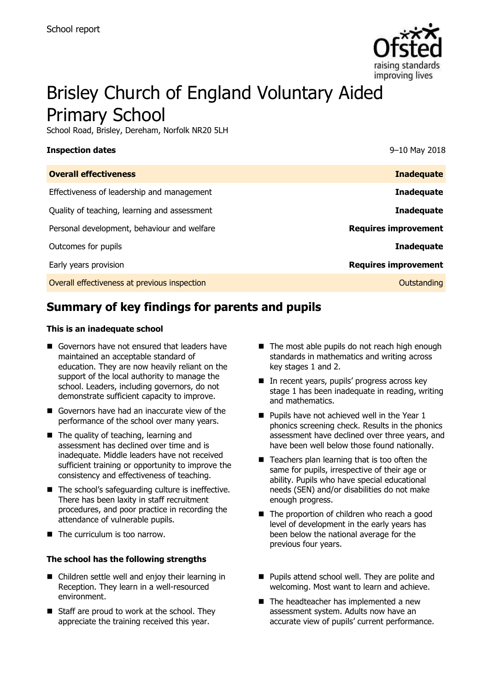

# Brisley Church of England Voluntary Aided Primary School

School Road, Brisley, Dereham, Norfolk NR20 5LH

#### **Inspection dates** 9–10 May 2018

| <b>Overall effectiveness</b>                 | <b>Inadequate</b>           |
|----------------------------------------------|-----------------------------|
| Effectiveness of leadership and management   | <b>Inadequate</b>           |
| Quality of teaching, learning and assessment | <b>Inadequate</b>           |
| Personal development, behaviour and welfare  | <b>Requires improvement</b> |
| Outcomes for pupils                          | <b>Inadequate</b>           |
| Early years provision                        | <b>Requires improvement</b> |
| Overall effectiveness at previous inspection | Outstanding                 |

# **Summary of key findings for parents and pupils**

#### **This is an inadequate school**

- Governors have not ensured that leaders have maintained an acceptable standard of education. They are now heavily reliant on the support of the local authority to manage the school. Leaders, including governors, do not demonstrate sufficient capacity to improve.
- Governors have had an inaccurate view of the performance of the school over many years.
- The quality of teaching, learning and assessment has declined over time and is inadequate. Middle leaders have not received sufficient training or opportunity to improve the consistency and effectiveness of teaching.
- The school's safeguarding culture is ineffective. There has been laxity in staff recruitment procedures, and poor practice in recording the attendance of vulnerable pupils.
- The curriculum is too narrow.

#### **The school has the following strengths**

- Children settle well and enjoy their learning in Reception. They learn in a well-resourced environment.
- $\blacksquare$  Staff are proud to work at the school. They appreciate the training received this year.
- The most able pupils do not reach high enough standards in mathematics and writing across key stages 1 and 2.
- In recent years, pupils' progress across key stage 1 has been inadequate in reading, writing and mathematics.
- $\blacksquare$  Pupils have not achieved well in the Year 1 phonics screening check. Results in the phonics assessment have declined over three years, and have been well below those found nationally.
- $\blacksquare$  Teachers plan learning that is too often the same for pupils, irrespective of their age or ability. Pupils who have special educational needs (SEN) and/or disabilities do not make enough progress.
- The proportion of children who reach a good level of development in the early years has been below the national average for the previous four years.
- **Pupils attend school well. They are polite and** welcoming. Most want to learn and achieve.
- The headteacher has implemented a new assessment system. Adults now have an accurate view of pupils' current performance.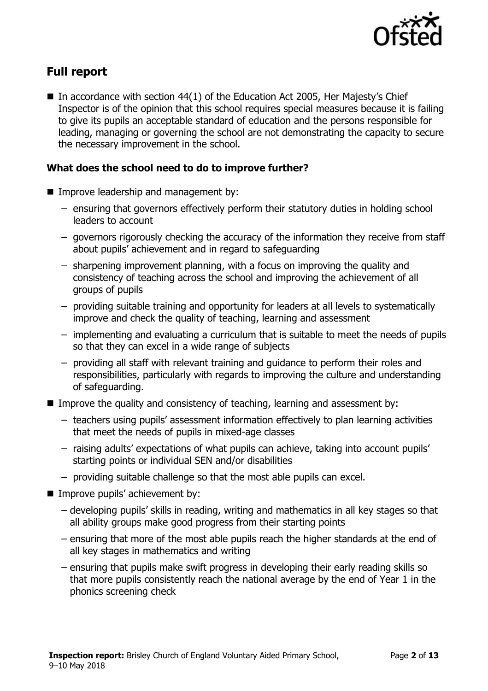

# **Full report**

In accordance with section  $44(1)$  of the Education Act 2005, Her Majesty's Chief Inspector is of the opinion that this school requires special measures because it is failing to give its pupils an acceptable standard of education and the persons responsible for leading, managing or governing the school are not demonstrating the capacity to secure the necessary improvement in the school.

### **What does the school need to do to improve further?**

- **Improve leadership and management by:** 
	- ensuring that governors effectively perform their statutory duties in holding school leaders to account
	- governors rigorously checking the accuracy of the information they receive from staff about pupils' achievement and in regard to safeguarding
	- sharpening improvement planning, with a focus on improving the quality and consistency of teaching across the school and improving the achievement of all groups of pupils
	- providing suitable training and opportunity for leaders at all levels to systematically improve and check the quality of teaching, learning and assessment
	- implementing and evaluating a curriculum that is suitable to meet the needs of pupils so that they can excel in a wide range of subjects
	- providing all staff with relevant training and guidance to perform their roles and responsibilities, particularly with regards to improving the culture and understanding of safeguarding.
- Improve the quality and consistency of teaching, learning and assessment by:
	- teachers using pupils' assessment information effectively to plan learning activities that meet the needs of pupils in mixed-age classes
	- raising adults' expectations of what pupils can achieve, taking into account pupils' starting points or individual SEN and/or disabilities
	- providing suitable challenge so that the most able pupils can excel.
- **Improve pupils' achievement by:** 
	- developing pupils' skills in reading, writing and mathematics in all key stages so that all ability groups make good progress from their starting points
	- ensuring that more of the most able pupils reach the higher standards at the end of all key stages in mathematics and writing
	- ensuring that pupils make swift progress in developing their early reading skills so that more pupils consistently reach the national average by the end of Year 1 in the phonics screening check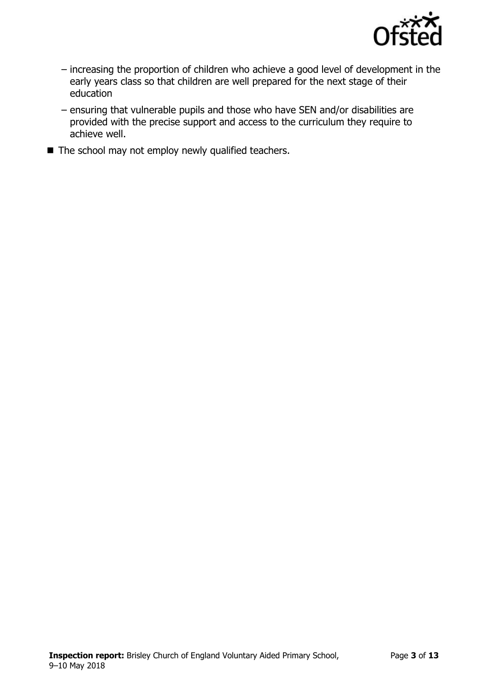

- increasing the proportion of children who achieve a good level of development in the early years class so that children are well prepared for the next stage of their education
- ensuring that vulnerable pupils and those who have SEN and/or disabilities are provided with the precise support and access to the curriculum they require to achieve well.
- $\blacksquare$  The school may not employ newly qualified teachers.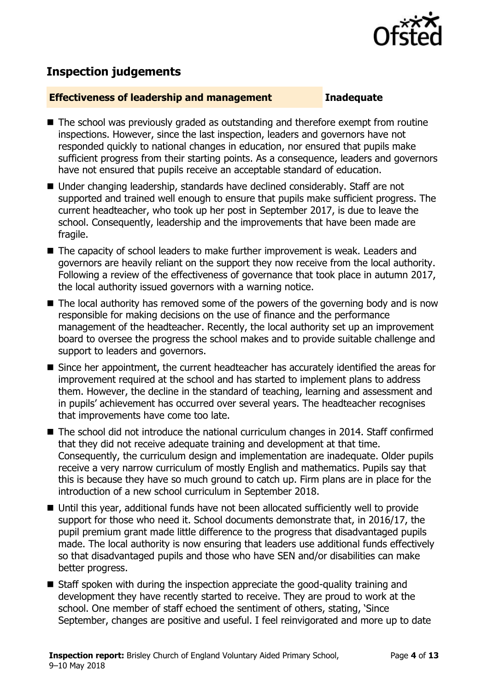

# **Inspection judgements**

#### **Effectiveness of leadership and management Inadequate**

- The school was previously graded as outstanding and therefore exempt from routine inspections. However, since the last inspection, leaders and governors have not responded quickly to national changes in education, nor ensured that pupils make sufficient progress from their starting points. As a consequence, leaders and governors have not ensured that pupils receive an acceptable standard of education.
- Under changing leadership, standards have declined considerably. Staff are not supported and trained well enough to ensure that pupils make sufficient progress. The current headteacher, who took up her post in September 2017, is due to leave the school. Consequently, leadership and the improvements that have been made are fragile.
- The capacity of school leaders to make further improvement is weak. Leaders and governors are heavily reliant on the support they now receive from the local authority. Following a review of the effectiveness of governance that took place in autumn 2017, the local authority issued governors with a warning notice.
- The local authority has removed some of the powers of the governing body and is now responsible for making decisions on the use of finance and the performance management of the headteacher. Recently, the local authority set up an improvement board to oversee the progress the school makes and to provide suitable challenge and support to leaders and governors.
- Since her appointment, the current headteacher has accurately identified the areas for improvement required at the school and has started to implement plans to address them. However, the decline in the standard of teaching, learning and assessment and in pupils' achievement has occurred over several years. The headteacher recognises that improvements have come too late.
- The school did not introduce the national curriculum changes in 2014. Staff confirmed that they did not receive adequate training and development at that time. Consequently, the curriculum design and implementation are inadequate. Older pupils receive a very narrow curriculum of mostly English and mathematics. Pupils say that this is because they have so much ground to catch up. Firm plans are in place for the introduction of a new school curriculum in September 2018.
- Until this year, additional funds have not been allocated sufficiently well to provide support for those who need it. School documents demonstrate that, in 2016/17, the pupil premium grant made little difference to the progress that disadvantaged pupils made. The local authority is now ensuring that leaders use additional funds effectively so that disadvantaged pupils and those who have SEN and/or disabilities can make better progress.
- Staff spoken with during the inspection appreciate the good-quality training and development they have recently started to receive. They are proud to work at the school. One member of staff echoed the sentiment of others, stating, 'Since September, changes are positive and useful. I feel reinvigorated and more up to date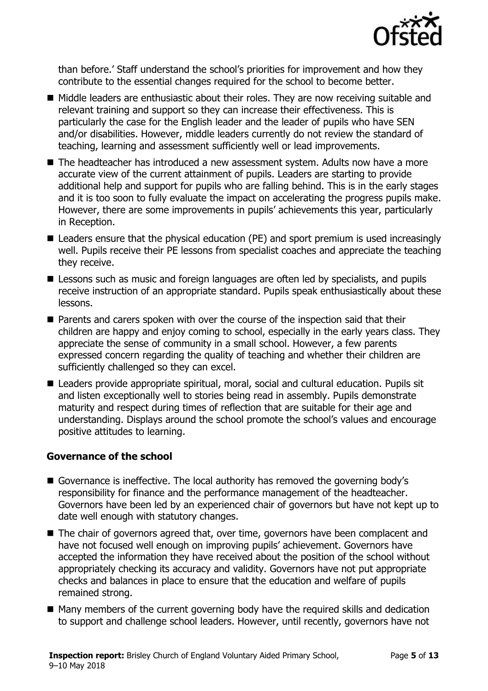

than before.' Staff understand the school's priorities for improvement and how they contribute to the essential changes required for the school to become better.

- Middle leaders are enthusiastic about their roles. They are now receiving suitable and relevant training and support so they can increase their effectiveness. This is particularly the case for the English leader and the leader of pupils who have SEN and/or disabilities. However, middle leaders currently do not review the standard of teaching, learning and assessment sufficiently well or lead improvements.
- The headteacher has introduced a new assessment system. Adults now have a more accurate view of the current attainment of pupils. Leaders are starting to provide additional help and support for pupils who are falling behind. This is in the early stages and it is too soon to fully evaluate the impact on accelerating the progress pupils make. However, there are some improvements in pupils' achievements this year, particularly in Reception.
- Leaders ensure that the physical education (PE) and sport premium is used increasingly well. Pupils receive their PE lessons from specialist coaches and appreciate the teaching they receive.
- **E** Lessons such as music and foreign languages are often led by specialists, and pupils receive instruction of an appropriate standard. Pupils speak enthusiastically about these lessons.
- Parents and carers spoken with over the course of the inspection said that their children are happy and enjoy coming to school, especially in the early years class. They appreciate the sense of community in a small school. However, a few parents expressed concern regarding the quality of teaching and whether their children are sufficiently challenged so they can excel.
- Leaders provide appropriate spiritual, moral, social and cultural education. Pupils sit and listen exceptionally well to stories being read in assembly. Pupils demonstrate maturity and respect during times of reflection that are suitable for their age and understanding. Displays around the school promote the school's values and encourage positive attitudes to learning.

### **Governance of the school**

- Governance is ineffective. The local authority has removed the governing body's responsibility for finance and the performance management of the headteacher. Governors have been led by an experienced chair of governors but have not kept up to date well enough with statutory changes.
- The chair of governors agreed that, over time, governors have been complacent and have not focused well enough on improving pupils' achievement. Governors have accepted the information they have received about the position of the school without appropriately checking its accuracy and validity. Governors have not put appropriate checks and balances in place to ensure that the education and welfare of pupils remained strong.
- Many members of the current governing body have the required skills and dedication to support and challenge school leaders. However, until recently, governors have not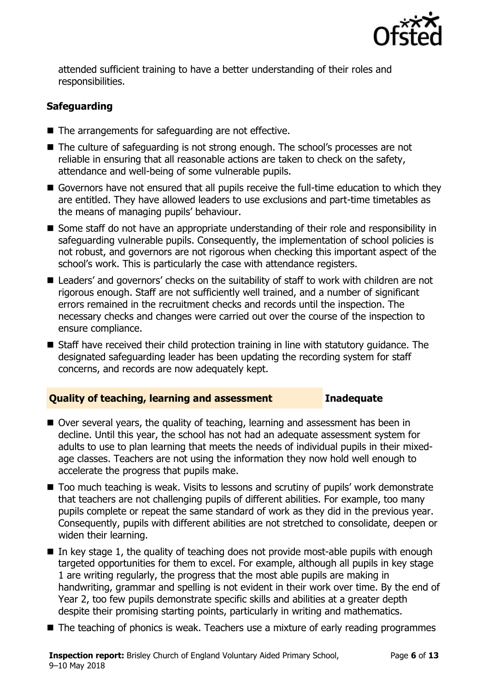

attended sufficient training to have a better understanding of their roles and responsibilities.

### **Safeguarding**

- The arrangements for safeguarding are not effective.
- The culture of safeguarding is not strong enough. The school's processes are not reliable in ensuring that all reasonable actions are taken to check on the safety, attendance and well-being of some vulnerable pupils.
- Governors have not ensured that all pupils receive the full-time education to which they are entitled. They have allowed leaders to use exclusions and part-time timetables as the means of managing pupils' behaviour.
- Some staff do not have an appropriate understanding of their role and responsibility in safeguarding vulnerable pupils. Consequently, the implementation of school policies is not robust, and governors are not rigorous when checking this important aspect of the school's work. This is particularly the case with attendance registers.
- Leaders' and governors' checks on the suitability of staff to work with children are not rigorous enough. Staff are not sufficiently well trained, and a number of significant errors remained in the recruitment checks and records until the inspection. The necessary checks and changes were carried out over the course of the inspection to ensure compliance.
- Staff have received their child protection training in line with statutory guidance. The designated safeguarding leader has been updating the recording system for staff concerns, and records are now adequately kept.

#### **Quality of teaching, learning and assessment Inadequate**

- Over several years, the quality of teaching, learning and assessment has been in decline. Until this year, the school has not had an adequate assessment system for adults to use to plan learning that meets the needs of individual pupils in their mixedage classes. Teachers are not using the information they now hold well enough to accelerate the progress that pupils make.
- Too much teaching is weak. Visits to lessons and scrutiny of pupils' work demonstrate that teachers are not challenging pupils of different abilities. For example, too many pupils complete or repeat the same standard of work as they did in the previous year. Consequently, pupils with different abilities are not stretched to consolidate, deepen or widen their learning.
- $\blacksquare$  In key stage 1, the quality of teaching does not provide most-able pupils with enough targeted opportunities for them to excel. For example, although all pupils in key stage 1 are writing regularly, the progress that the most able pupils are making in handwriting, grammar and spelling is not evident in their work over time. By the end of Year 2, too few pupils demonstrate specific skills and abilities at a greater depth despite their promising starting points, particularly in writing and mathematics.
- The teaching of phonics is weak. Teachers use a mixture of early reading programmes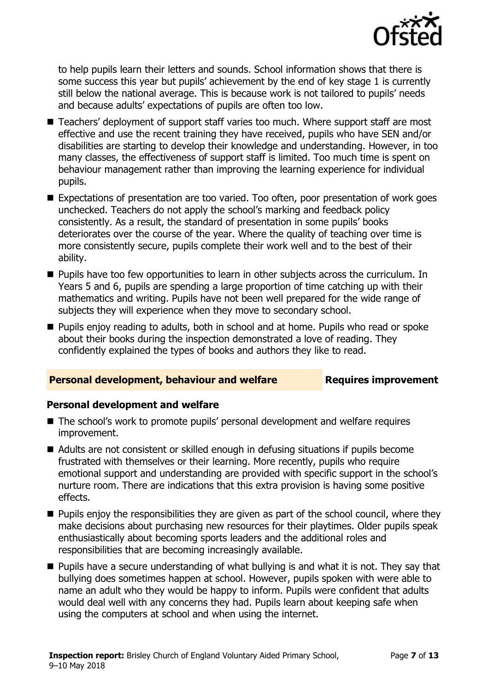

to help pupils learn their letters and sounds. School information shows that there is some success this year but pupils' achievement by the end of key stage 1 is currently still below the national average. This is because work is not tailored to pupils' needs and because adults' expectations of pupils are often too low.

- Teachers' deployment of support staff varies too much. Where support staff are most effective and use the recent training they have received, pupils who have SEN and/or disabilities are starting to develop their knowledge and understanding. However, in too many classes, the effectiveness of support staff is limited. Too much time is spent on behaviour management rather than improving the learning experience for individual pupils.
- Expectations of presentation are too varied. Too often, poor presentation of work goes unchecked. Teachers do not apply the school's marking and feedback policy consistently. As a result, the standard of presentation in some pupils' books deteriorates over the course of the year. Where the quality of teaching over time is more consistently secure, pupils complete their work well and to the best of their ability.
- **Pupils have too few opportunities to learn in other subjects across the curriculum. In** Years 5 and 6, pupils are spending a large proportion of time catching up with their mathematics and writing. Pupils have not been well prepared for the wide range of subjects they will experience when they move to secondary school.
- **Pupils enjoy reading to adults, both in school and at home. Pupils who read or spoke** about their books during the inspection demonstrated a love of reading. They confidently explained the types of books and authors they like to read.

### **Personal development, behaviour and welfare Fig. 2.1 Requires improvement**

#### **Personal development and welfare**

- The school's work to promote pupils' personal development and welfare requires improvement.
- Adults are not consistent or skilled enough in defusing situations if pupils become frustrated with themselves or their learning. More recently, pupils who require emotional support and understanding are provided with specific support in the school's nurture room. There are indications that this extra provision is having some positive effects.
- **Pupils enjoy the responsibilities they are given as part of the school council, where they** make decisions about purchasing new resources for their playtimes. Older pupils speak enthusiastically about becoming sports leaders and the additional roles and responsibilities that are becoming increasingly available.
- Pupils have a secure understanding of what bullying is and what it is not. They say that bullying does sometimes happen at school. However, pupils spoken with were able to name an adult who they would be happy to inform. Pupils were confident that adults would deal well with any concerns they had. Pupils learn about keeping safe when using the computers at school and when using the internet.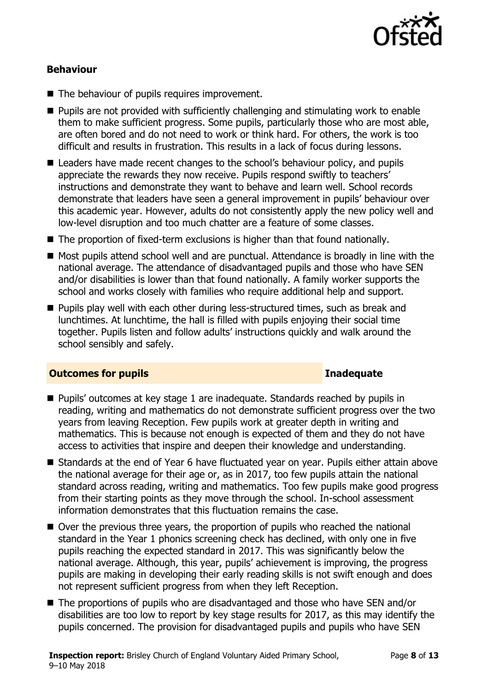

#### **Behaviour**

- The behaviour of pupils requires improvement.
- **Pupils are not provided with sufficiently challenging and stimulating work to enable** them to make sufficient progress. Some pupils, particularly those who are most able, are often bored and do not need to work or think hard. For others, the work is too difficult and results in frustration. This results in a lack of focus during lessons.
- Leaders have made recent changes to the school's behaviour policy, and pupils appreciate the rewards they now receive. Pupils respond swiftly to teachers' instructions and demonstrate they want to behave and learn well. School records demonstrate that leaders have seen a general improvement in pupils' behaviour over this academic year. However, adults do not consistently apply the new policy well and low-level disruption and too much chatter are a feature of some classes.
- The proportion of fixed-term exclusions is higher than that found nationally.
- Most pupils attend school well and are punctual. Attendance is broadly in line with the national average. The attendance of disadvantaged pupils and those who have SEN and/or disabilities is lower than that found nationally. A family worker supports the school and works closely with families who require additional help and support.
- **Pupils play well with each other during less-structured times, such as break and** lunchtimes. At lunchtime, the hall is filled with pupils enjoying their social time together. Pupils listen and follow adults' instructions quickly and walk around the school sensibly and safely.

#### **Outcomes for pupils Inadequate**

- Pupils' outcomes at key stage 1 are inadequate. Standards reached by pupils in reading, writing and mathematics do not demonstrate sufficient progress over the two years from leaving Reception. Few pupils work at greater depth in writing and mathematics. This is because not enough is expected of them and they do not have access to activities that inspire and deepen their knowledge and understanding.
- Standards at the end of Year 6 have fluctuated year on year. Pupils either attain above the national average for their age or, as in 2017, too few pupils attain the national standard across reading, writing and mathematics. Too few pupils make good progress from their starting points as they move through the school. In-school assessment information demonstrates that this fluctuation remains the case.
- Over the previous three years, the proportion of pupils who reached the national standard in the Year 1 phonics screening check has declined, with only one in five pupils reaching the expected standard in 2017. This was significantly below the national average. Although, this year, pupils' achievement is improving, the progress pupils are making in developing their early reading skills is not swift enough and does not represent sufficient progress from when they left Reception.
- The proportions of pupils who are disadvantaged and those who have SEN and/or disabilities are too low to report by key stage results for 2017, as this may identify the pupils concerned. The provision for disadvantaged pupils and pupils who have SEN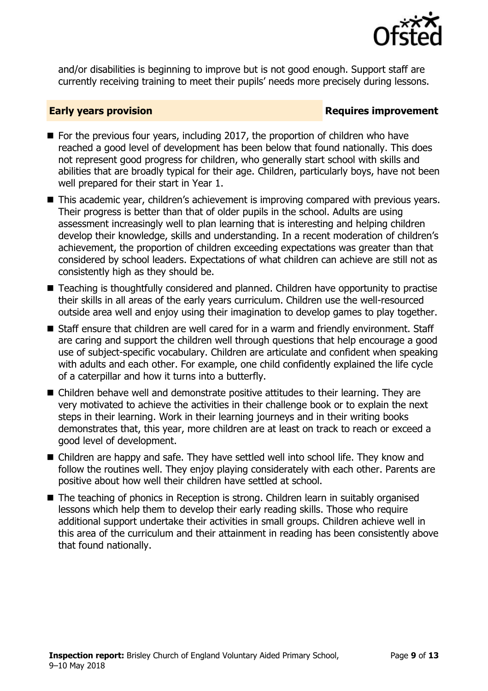

and/or disabilities is beginning to improve but is not good enough. Support staff are currently receiving training to meet their pupils' needs more precisely during lessons.

#### **Early years provision**

- $\blacksquare$  For the previous four years, including 2017, the proportion of children who have reached a good level of development has been below that found nationally. This does not represent good progress for children, who generally start school with skills and abilities that are broadly typical for their age. Children, particularly boys, have not been well prepared for their start in Year 1.
- This academic year, children's achievement is improving compared with previous years. Their progress is better than that of older pupils in the school. Adults are using assessment increasingly well to plan learning that is interesting and helping children develop their knowledge, skills and understanding. In a recent moderation of children's achievement, the proportion of children exceeding expectations was greater than that considered by school leaders. Expectations of what children can achieve are still not as consistently high as they should be.
- Teaching is thoughtfully considered and planned. Children have opportunity to practise their skills in all areas of the early years curriculum. Children use the well-resourced outside area well and enjoy using their imagination to develop games to play together.
- Staff ensure that children are well cared for in a warm and friendly environment. Staff are caring and support the children well through questions that help encourage a good use of subject-specific vocabulary. Children are articulate and confident when speaking with adults and each other. For example, one child confidently explained the life cycle of a caterpillar and how it turns into a butterfly.
- Children behave well and demonstrate positive attitudes to their learning. They are very motivated to achieve the activities in their challenge book or to explain the next steps in their learning. Work in their learning journeys and in their writing books demonstrates that, this year, more children are at least on track to reach or exceed a good level of development.
- Children are happy and safe. They have settled well into school life. They know and follow the routines well. They enjoy playing considerately with each other. Parents are positive about how well their children have settled at school.
- The teaching of phonics in Reception is strong. Children learn in suitably organised lessons which help them to develop their early reading skills. Those who require additional support undertake their activities in small groups. Children achieve well in this area of the curriculum and their attainment in reading has been consistently above that found nationally.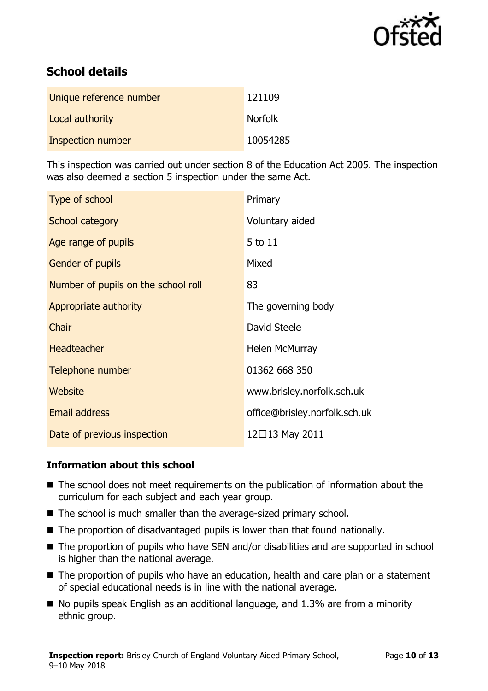

# **School details**

| Unique reference number | 121109         |
|-------------------------|----------------|
| Local authority         | <b>Norfolk</b> |
| Inspection number       | 10054285       |

This inspection was carried out under section 8 of the Education Act 2005. The inspection was also deemed a section 5 inspection under the same Act.

| Type of school                      | Primary                       |
|-------------------------------------|-------------------------------|
| School category                     | Voluntary aided               |
| Age range of pupils                 | 5 to 11                       |
| <b>Gender of pupils</b>             | Mixed                         |
| Number of pupils on the school roll | 83                            |
| Appropriate authority               | The governing body            |
| Chair                               | David Steele                  |
| <b>Headteacher</b>                  | Helen McMurray                |
| Telephone number                    | 01362 668 350                 |
| Website                             | www.brisley.norfolk.sch.uk    |
| <b>Email address</b>                | office@brisley.norfolk.sch.uk |
| Date of previous inspection         | 12□13 May 2011                |

### **Information about this school**

- The school does not meet requirements on the publication of information about the curriculum for each subject and each year group.
- The school is much smaller than the average-sized primary school.
- The proportion of disadvantaged pupils is lower than that found nationally.
- The proportion of pupils who have SEN and/or disabilities and are supported in school is higher than the national average.
- The proportion of pupils who have an education, health and care plan or a statement of special educational needs is in line with the national average.
- $\blacksquare$  No pupils speak English as an additional language, and 1.3% are from a minority ethnic group.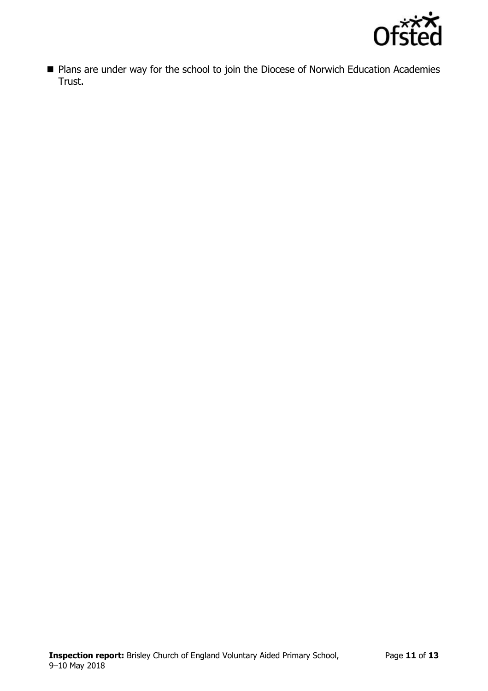

**Plans are under way for the school to join the Diocese of Norwich Education Academies** Trust.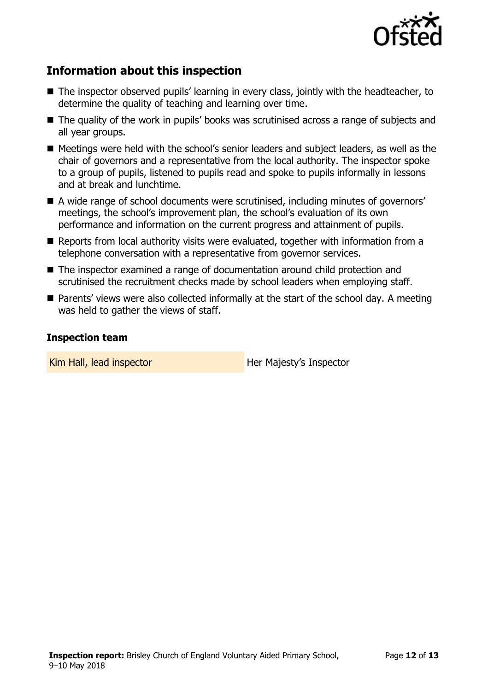

## **Information about this inspection**

- The inspector observed pupils' learning in every class, jointly with the headteacher, to determine the quality of teaching and learning over time.
- The quality of the work in pupils' books was scrutinised across a range of subjects and all year groups.
- Meetings were held with the school's senior leaders and subject leaders, as well as the chair of governors and a representative from the local authority. The inspector spoke to a group of pupils, listened to pupils read and spoke to pupils informally in lessons and at break and lunchtime.
- A wide range of school documents were scrutinised, including minutes of governors' meetings, the school's improvement plan, the school's evaluation of its own performance and information on the current progress and attainment of pupils.
- Reports from local authority visits were evaluated, together with information from a telephone conversation with a representative from governor services.
- The inspector examined a range of documentation around child protection and scrutinised the recruitment checks made by school leaders when employing staff.
- Parents' views were also collected informally at the start of the school day. A meeting was held to gather the views of staff.

#### **Inspection team**

Kim Hall, lead inspector **Her Majesty's Inspector**